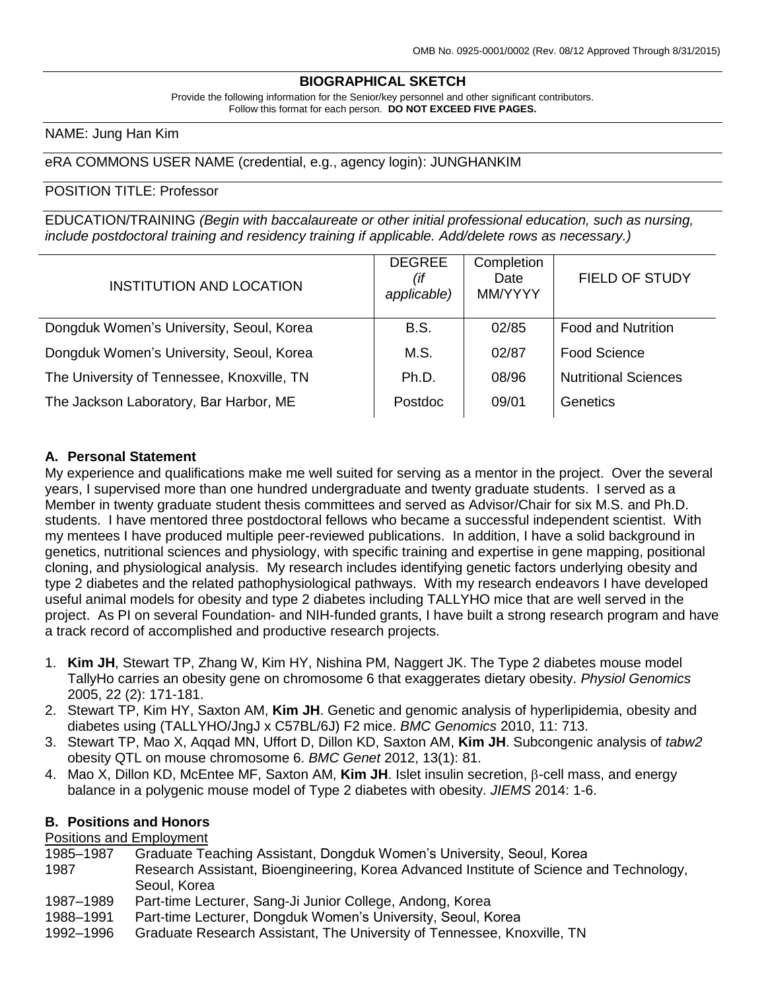# **BIOGRAPHICAL SKETCH**

Provide the following information for the Senior/key personnel and other significant contributors. Follow this format for each person. **DO NOT EXCEED FIVE PAGES.**

### NAME: Jung Han Kim

### eRA COMMONS USER NAME (credential, e.g., agency login): JUNGHANKIM

#### POSITION TITLE: Professor

EDUCATION/TRAINING *(Begin with baccalaureate or other initial professional education, such as nursing, include postdoctoral training and residency training if applicable. Add/delete rows as necessary.)*

| <b>INSTITUTION AND LOCATION</b>            | <b>DEGREE</b><br>(if<br>applicable) | Completion<br>Date<br>MM/YYYY | <b>FIELD OF STUDY</b>       |
|--------------------------------------------|-------------------------------------|-------------------------------|-----------------------------|
| Dongduk Women's University, Seoul, Korea   | <b>B.S.</b>                         | 02/85                         | <b>Food and Nutrition</b>   |
| Dongduk Women's University, Seoul, Korea   | M.S.                                | 02/87                         | <b>Food Science</b>         |
| The University of Tennessee, Knoxville, TN | Ph.D.                               | 08/96                         | <b>Nutritional Sciences</b> |
| The Jackson Laboratory, Bar Harbor, ME     | Postdoc                             | 09/01                         | Genetics                    |

#### **A. Personal Statement**

My experience and qualifications make me well suited for serving as a mentor in the project. Over the several years, I supervised more than one hundred undergraduate and twenty graduate students. I served as a Member in twenty graduate student thesis committees and served as Advisor/Chair for six M.S. and Ph.D. students. I have mentored three postdoctoral fellows who became a successful independent scientist. With my mentees I have produced multiple peer-reviewed publications. In addition, I have a solid background in genetics, nutritional sciences and physiology, with specific training and expertise in gene mapping, positional cloning, and physiological analysis. My research includes identifying genetic factors underlying obesity and type 2 diabetes and the related pathophysiological pathways. With my research endeavors I have developed useful animal models for obesity and type 2 diabetes including TALLYHO mice that are well served in the project. As PI on several Foundation- and NIH-funded grants, I have built a strong research program and have a track record of accomplished and productive research projects.

- 1. **Kim JH**, Stewart TP, Zhang W, Kim HY, Nishina PM, Naggert JK. The Type 2 diabetes mouse model TallyHo carries an obesity gene on chromosome 6 that exaggerates dietary obesity. *Physiol Genomics* 2005, 22 (2): 171-181.
- 2. Stewart TP, Kim HY, Saxton AM, **Kim JH**. Genetic and genomic analysis of hyperlipidemia, obesity and diabetes using (TALLYHO/JngJ x C57BL/6J) F2 mice. *BMC Genomics* 2010, 11: 713.
- 3. Stewart TP, Mao X, Aqqad MN, Uffort D, Dillon KD, Saxton AM, **Kim JH**. Subcongenic analysis of *tabw2* obesity QTL on mouse chromosome 6. *BMC Genet* 2012, 13(1): 81.
- 4. Mao X, Dillon KD, McEntee MF, Saxton AM, **Kim JH**. Islet insulin secretion,  $\beta$ -cell mass, and energy balance in a polygenic mouse model of Type 2 diabetes with obesity. *JIEMS* 2014: 1-6.

#### **B. Positions and Honors**

Positions and Employment

- 1985–1987 Graduate Teaching Assistant, Dongduk Women's University, Seoul, Korea
- 1987 Research Assistant, Bioengineering, Korea Advanced Institute of Science and Technology, Seoul, Korea
- 1987–1989 Part-time Lecturer, Sang-Ji Junior College, Andong, Korea
- 1988–1991 Part-time Lecturer, Dongduk Women's University, Seoul, Korea
- 1992–1996 Graduate Research Assistant, The University of Tennessee, Knoxville, TN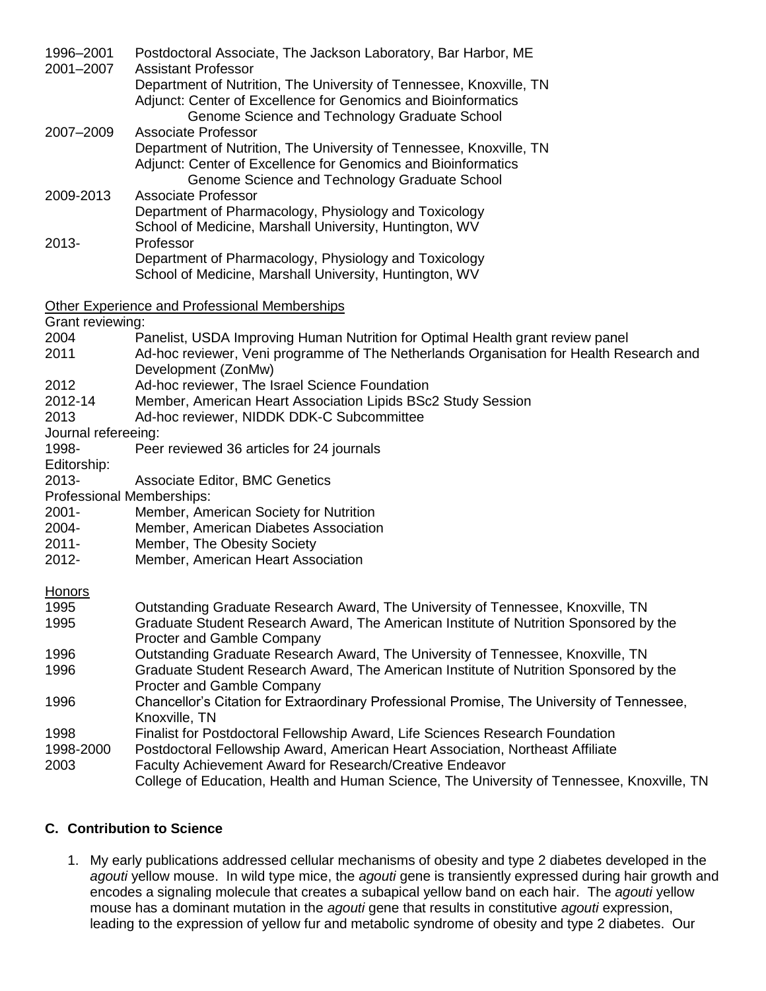| 1996-2001           | Postdoctoral Associate, The Jackson Laboratory, Bar Harbor, ME                             |  |  |
|---------------------|--------------------------------------------------------------------------------------------|--|--|
| 2001-2007           | <b>Assistant Professor</b>                                                                 |  |  |
|                     | Department of Nutrition, The University of Tennessee, Knoxville, TN                        |  |  |
|                     | Adjunct: Center of Excellence for Genomics and Bioinformatics                              |  |  |
|                     | Genome Science and Technology Graduate School<br>Associate Professor                       |  |  |
| 2007-2009           | Department of Nutrition, The University of Tennessee, Knoxville, TN                        |  |  |
|                     | Adjunct: Center of Excellence for Genomics and Bioinformatics                              |  |  |
|                     | Genome Science and Technology Graduate School                                              |  |  |
| 2009-2013           | Associate Professor                                                                        |  |  |
|                     | Department of Pharmacology, Physiology and Toxicology                                      |  |  |
|                     | School of Medicine, Marshall University, Huntington, WV                                    |  |  |
| $2013 -$            | Professor                                                                                  |  |  |
|                     | Department of Pharmacology, Physiology and Toxicology                                      |  |  |
|                     | School of Medicine, Marshall University, Huntington, WV                                    |  |  |
|                     | Other Experience and Professional Memberships                                              |  |  |
| Grant reviewing:    |                                                                                            |  |  |
| 2004                | Panelist, USDA Improving Human Nutrition for Optimal Health grant review panel             |  |  |
| 2011                | Ad-hoc reviewer, Veni programme of The Netherlands Organisation for Health Research and    |  |  |
|                     | Development (ZonMw)                                                                        |  |  |
| 2012                | Ad-hoc reviewer, The Israel Science Foundation                                             |  |  |
| 2012-14             | Member, American Heart Association Lipids BSc2 Study Session                               |  |  |
| 2013                | Ad-hoc reviewer, NIDDK DDK-C Subcommittee                                                  |  |  |
| Journal refereeing: |                                                                                            |  |  |
| 1998-               | Peer reviewed 36 articles for 24 journals                                                  |  |  |
| Editorship:         |                                                                                            |  |  |
| 2013-               | Associate Editor, BMC Genetics                                                             |  |  |
|                     | Professional Memberships:                                                                  |  |  |
| $2001 -$            | Member, American Society for Nutrition                                                     |  |  |
| 2004-               | Member, American Diabetes Association                                                      |  |  |
| $2011 -$            | Member, The Obesity Society                                                                |  |  |
| 2012-               | Member, American Heart Association                                                         |  |  |
| <b>Honors</b>       |                                                                                            |  |  |
| 1995                | Outstanding Graduate Research Award, The University of Tennessee, Knoxville, TN            |  |  |
| 1995                | Graduate Student Research Award, The American Institute of Nutrition Sponsored by the      |  |  |
|                     | Procter and Gamble Company                                                                 |  |  |
| 1996                | Outstanding Graduate Research Award, The University of Tennessee, Knoxville, TN            |  |  |
| 1996                | Graduate Student Research Award, The American Institute of Nutrition Sponsored by the      |  |  |
|                     | Procter and Gamble Company                                                                 |  |  |
| 1996                | Chancellor's Citation for Extraordinary Professional Promise, The University of Tennessee, |  |  |
|                     | Knoxville, TN                                                                              |  |  |
| 1998                | Finalist for Postdoctoral Fellowship Award, Life Sciences Research Foundation              |  |  |
| 1998-2000           | Postdoctoral Fellowship Award, American Heart Association, Northeast Affiliate             |  |  |
| 2003                | Faculty Achievement Award for Research/Creative Endeavor                                   |  |  |
|                     | College of Education, Health and Human Science, The University of Tennessee, Knoxville, TN |  |  |

## **C. Contribution to Science**

1. My early publications addressed cellular mechanisms of obesity and type 2 diabetes developed in the *agouti* yellow mouse. In wild type mice, the *agouti* gene is transiently expressed during hair growth and encodes a signaling molecule that creates a subapical yellow band on each hair. The *agouti* yellow mouse has a dominant mutation in the *agouti* gene that results in constitutive *agouti* expression, leading to the expression of yellow fur and metabolic syndrome of obesity and type 2 diabetes. Our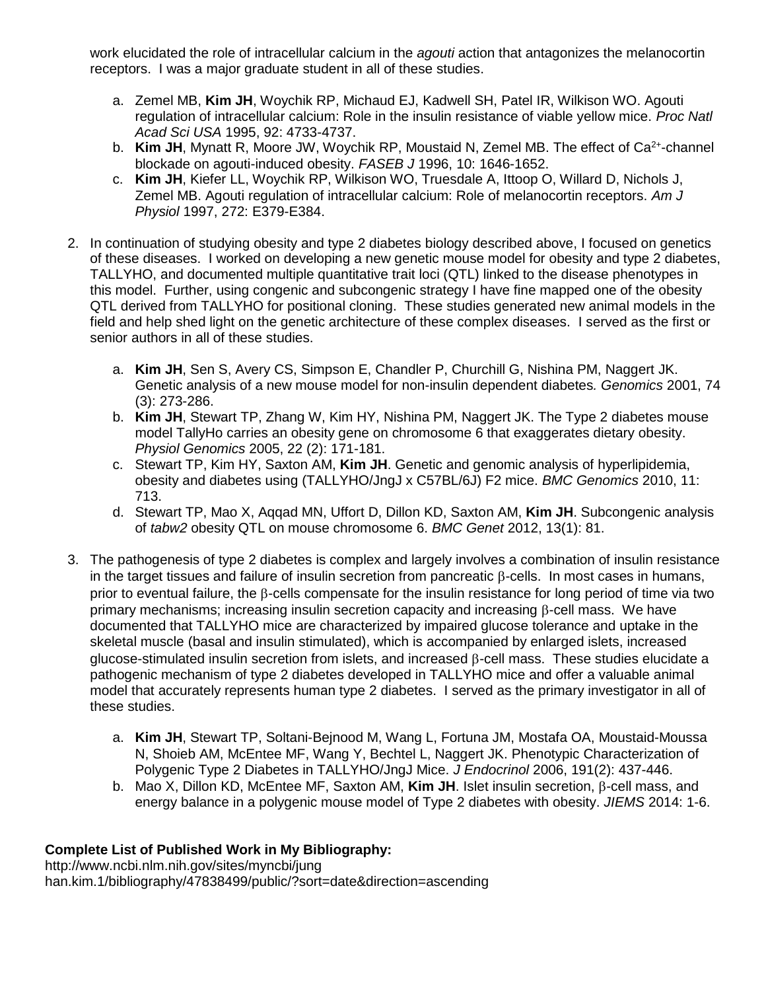work elucidated the role of intracellular calcium in the *agouti* action that antagonizes the melanocortin receptors. I was a major graduate student in all of these studies.

- a. Zemel MB, **Kim JH**, Woychik RP, Michaud EJ, Kadwell SH, Patel IR, Wilkison WO. Agouti regulation of intracellular calcium: Role in the insulin resistance of viable yellow mice. *Proc Natl Acad Sci USA* 1995, 92: 4733-4737.
- b. Kim JH, Mynatt R, Moore JW, Woychik RP, Moustaid N, Zemel MB. The effect of Ca<sup>2+</sup>-channel blockade on agouti-induced obesity. *FASEB J* 1996, 10: 1646-1652.
- c. **Kim JH**, Kiefer LL, Woychik RP, Wilkison WO, Truesdale A, Ittoop O, Willard D, Nichols J, Zemel MB. Agouti regulation of intracellular calcium: Role of melanocortin receptors. *Am J Physiol* 1997, 272: E379-E384.
- 2. In continuation of studying obesity and type 2 diabetes biology described above, I focused on genetics of these diseases. I worked on developing a new genetic mouse model for obesity and type 2 diabetes, TALLYHO, and documented multiple quantitative trait loci (QTL) linked to the disease phenotypes in this model. Further, using congenic and subcongenic strategy I have fine mapped one of the obesity QTL derived from TALLYHO for positional cloning. These studies generated new animal models in the field and help shed light on the genetic architecture of these complex diseases. I served as the first or senior authors in all of these studies.
	- a. **Kim JH**, Sen S, Avery CS, Simpson E, Chandler P, Churchill G, Nishina PM, Naggert JK. Genetic analysis of a new mouse model for non-insulin dependent diabetes*. Genomics* 2001, 74 (3): 273-286.
	- b. **Kim JH**, Stewart TP, Zhang W, Kim HY, Nishina PM, Naggert JK. The Type 2 diabetes mouse model TallyHo carries an obesity gene on chromosome 6 that exaggerates dietary obesity. *Physiol Genomics* 2005, 22 (2): 171-181.
	- c. Stewart TP, Kim HY, Saxton AM, **Kim JH**. Genetic and genomic analysis of hyperlipidemia, obesity and diabetes using (TALLYHO/JngJ x C57BL/6J) F2 mice. *BMC Genomics* 2010, 11: 713.
	- d. Stewart TP, Mao X, Aqqad MN, Uffort D, Dillon KD, Saxton AM, **Kim JH**. Subcongenic analysis of *tabw2* obesity QTL on mouse chromosome 6. *BMC Genet* 2012, 13(1): 81.
- 3. The pathogenesis of type 2 diabetes is complex and largely involves a combination of insulin resistance in the target tissues and failure of insulin secretion from pancreatic  $\beta$ -cells. In most cases in humans, prior to eventual failure, the B-cells compensate for the insulin resistance for long period of time via two primary mechanisms; increasing insulin secretion capacity and increasing  $\beta$ -cell mass. We have documented that TALLYHO mice are characterized by impaired glucose tolerance and uptake in the skeletal muscle (basal and insulin stimulated), which is accompanied by enlarged islets, increased glucose-stimulated insulin secretion from islets, and increased  $\beta$ -cell mass. These studies elucidate a pathogenic mechanism of type 2 diabetes developed in TALLYHO mice and offer a valuable animal model that accurately represents human type 2 diabetes. I served as the primary investigator in all of these studies.
	- a. **Kim JH**, Stewart TP, Soltani-Bejnood M, Wang L, Fortuna JM, Mostafa OA, Moustaid-Moussa N, Shoieb AM, McEntee MF, Wang Y, Bechtel L, Naggert JK. Phenotypic Characterization of Polygenic Type 2 Diabetes in TALLYHO/JngJ Mice. *J Endocrinol* 2006, 191(2): 437-446.
	- b. Mao X, Dillon KD, McEntee MF, Saxton AM, **Kim JH**, Islet insulin secretion, B-cell mass, and energy balance in a polygenic mouse model of Type 2 diabetes with obesity. *JIEMS* 2014: 1-6.

## **Complete List of Published Work in My Bibliography:**

http://www.ncbi.nlm.nih.gov/sites/myncbi/jung han.kim.1/bibliography/47838499/public/?sort=date&direction=ascending